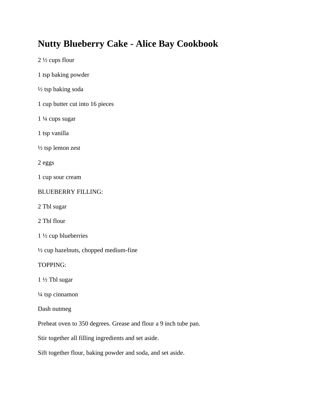## **Nutty Blueberry Cake - Alice Bay Cookbook**

2 ½ cups flour

- 1 tsp baking powder
- ½ tsp baking soda
- 1 cup butter cut into 16 pieces
- 1 ¼ cups sugar
- 1 tsp vanilla
- ½ tsp lemon zest

2 eggs

1 cup sour cream

## BLUEBERRY FILLING:

2 Tbl sugar

- 2 Tbl flour
- 1 ½ cup blueberries
- ½ cup hazelnuts, chopped medium-fine

TOPPING:

1 ½ Tbl sugar

¼ tsp cinnamon

Dash nutmeg

Preheat oven to 350 degrees. Grease and flour a 9 inch tube pan.

Stir together all filling ingredients and set aside.

Sift together flour, baking powder and soda, and set aside.